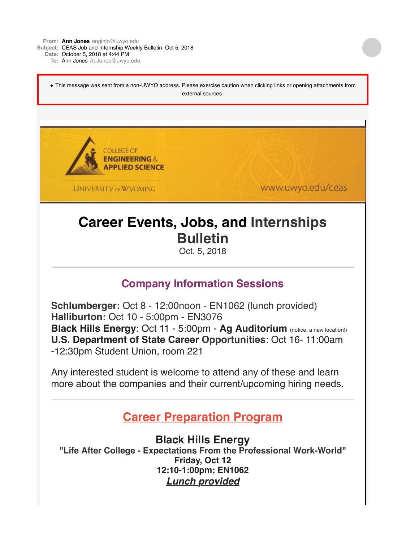**From: Ann [Jones](mailto:Jonesenginfo@uwyo.edu)** [enginfo@uwyo.edu](mailto:Jonesenginfo@uwyo.edu)

**Subject:** CEAS Job and Internship Weekly Bulletin; Oct 5, 2018

**Date:** October 5, 2018 at 4:44 PM

**To:** Ann [Jones](mailto:JonesALJones@uwyo.edu) [ALJones@uwyo.edu](mailto:JonesALJones@uwyo.edu)

◆ This message was sent from a non-UWYO address. Please exercise caution when clicking links or opening attachments from external sources.

COLLEGE OF **ENGINEERING& APPLIED SCIENCE** 

**UNIVERSITY OF WYOMING** 

www.uwyo.edu/ceas

# **Career Events, Jobs, and Internships Bulletin**

Oct. 5, 2018

### **Company Information Sessions**

**Schlumberger:** Oct 8 - 12:00noon - EN1062 (lunch provided) **Halliburton:** Oct 10 - 5:00pm - EN3076 **Black Hills Energy**: Oct 11 - 5:00pm - **Ag Auditorium** (notice, a new location!) **U.S. Department of State Career Opportunities**: Oct 16- 11:00am -12:30pm Student Union, room 221

Any interested student is welcome to attend any of these and learn more about the companies and their current/upcoming hiring needs.

## **Career Preparation Program**

**Black Hills Energy "Life After College - Expectations From the Professional Work-World" Friday, Oct 12 12:10-1:00pm; EN1062** *Lunch provided*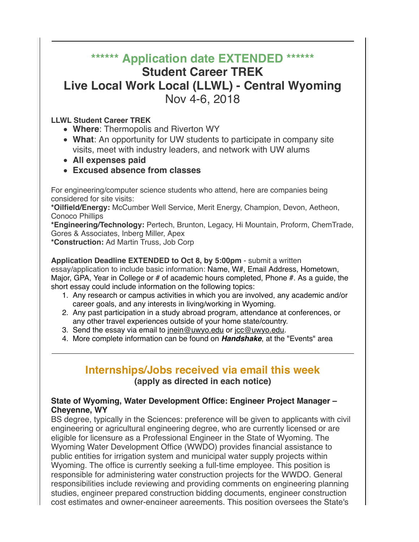## **\*\*\*\*\*\* Application date EXTENDED \*\*\*\*\*\* Student Career TREK Live Local Work Local (LLWL) - Central Wyoming** Nov 4-6, 2018

#### **LLWL Student Career TREK**

- **Where**: Thermopolis and Riverton WY
- **What**: An opportunity for UW students to participate in company site visits, meet with industry leaders, and network with UW alums
- **All expenses paid**
- **Excused absence from classes**

For engineering/computer science students who attend, here are companies being considered for site visits:

**\*Oilfield/Energy:** McCumber Well Service, Merit Energy, Champion, Devon, Aetheon, Conoco Phillips

**\*Engineering/Technology:** Pertech, Brunton, Legacy, Hi Mountain, Proform, ChemTrade, Gores & Associates, Inberg Miller, Apex

**\*Construction:** Ad Martin Truss, Job Corp

**Application Deadline EXTENDED to Oct 8, by 5:00pm** - submit a written essay/application to include basic information: Name, W#, Email Address, Hometown, Major, GPA, Year in College or # of academic hours completed, Phone #. As a guide, the short essay could include information on the following topics:

- 1. Any research or campus activities in which you are involved, any academic and/or career goals, and any interests in living/working in Wyoming.
- 2. Any past participation in a study abroad program, attendance at conferences, or any other travel experiences outside of your home state/country.
- 3. Send the essay via email to [jnein@uwyo.edu](mailto:jnein@uwyo.edu) or [jcc@uwyo.edu](mailto:jcc@uwyo.edu).
- 4. More complete information can be found on *Handshake*, at the "Events" area

#### **Internships/Jobs received via email this week (apply as directed in each notice)**

#### **State of Wyoming, Water Development Office: Engineer Project Manager – Cheyenne, WY**

BS degree, typically in the Sciences: preference will be given to applicants with civil engineering or agricultural engineering degree, who are currently licensed or are eligible for licensure as a Professional Engineer in the State of Wyoming. The Wyoming Water Development Office (WWDO) provides financial assistance to public entities for irrigation system and municipal water supply projects within Wyoming. The office is currently seeking a full-time employee. This position is responsible for administering water construction projects for the WWDO. General responsibilities include reviewing and providing comments on engineering planning studies, engineer prepared construction bidding documents, engineer construction cost estimates and owner-engineer agreements. This position oversees the State's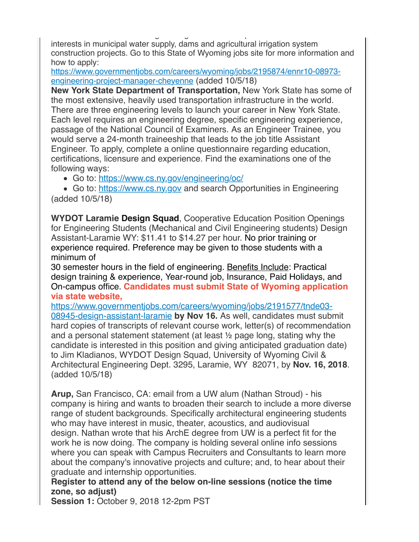cost estimates and owner-engineer agreements. This position oversees the State's interests in municipal water supply, dams and agricultural irrigation system construction projects. Go to this State of Wyoming jobs site for more information and how to apply:

[https://www.governmentjobs.com/careers/wyoming/jobs/2195874/ennr10-08973](http://r20.rs6.net/tn.jsp?f=001qgTtfk2N070fTvwhJ6Fou-qgJpO7wGdVOOg2c3rkNq_FAx-lOIJaS32VHlGfMNtoCkIoiWmu1bVAroqp0LqgP0_3_CxFuZAZXbmeqLI4RzpIsts_5_k1WSYYwcbf1g2HHAFtURNS-Bb_IADLO-WIVjcqv0byyDqMtQmhp1XF39vVh5dAdKEIDOx1pCldZDBDBHxiTgDQIeDDWwQy8iJqQNeUge2WDptNEho43H0PAtRq1MAG2dHUu9J8n_A2_Ak35BU09lB7Z2M=&c=WzJ5ipKUchcCl3KNVqPw9JZPRbagiQd5Y68_i9cwq2B5YY4Sp5dY9Q==&ch=-Jkj1GteqTeSv2CAYtQAY5O7QpWL2KUFZG2_wHEzIsQpQUald1OyAQ==) engineering-project-manager-cheyenne (added 10/5/18)

**New York State Department of Transportation,** New York State has some of the most extensive, heavily used transportation infrastructure in the world. There are three engineering levels to launch your career in New York State. Each level requires an engineering degree, specific engineering experience, passage of the National Council of Examiners. As an Engineer Trainee, you would serve a 24-month traineeship that leads to the job title Assistant Engineer. To apply, complete a online questionnaire regarding education, certifications, licensure and experience. Find the examinations one of the following ways:

Go to: [https://www.cs.ny.gov/engineering/oc/](http://r20.rs6.net/tn.jsp?f=001qgTtfk2N070fTvwhJ6Fou-qgJpO7wGdVOOg2c3rkNq_FAx-lOIJaS32VHlGfMNto_8qlY4I0TaKWvCLF-Ibt4LS34g3fAuNDE44JzshMAyp7w_TLaIY1FRSMAZmemN6eNE_7OGNa9wQa5EwTsqaBN1XkGNBgHyvNbipmQg7UvBM=&c=WzJ5ipKUchcCl3KNVqPw9JZPRbagiQd5Y68_i9cwq2B5YY4Sp5dY9Q==&ch=-Jkj1GteqTeSv2CAYtQAY5O7QpWL2KUFZG2_wHEzIsQpQUald1OyAQ==)

• Go to: [https://www.cs.ny.gov](http://r20.rs6.net/tn.jsp?f=001qgTtfk2N070fTvwhJ6Fou-qgJpO7wGdVOOg2c3rkNq_FAx-lOIJaS32VHlGfMNto-1CvzvxzMGS5CLTKXlgzCjADrxEdvF5HmKPGzP6y7h_l3gqpHrVau532-e-zEuFOeqk5-yyhA2E=&c=WzJ5ipKUchcCl3KNVqPw9JZPRbagiQd5Y68_i9cwq2B5YY4Sp5dY9Q==&ch=-Jkj1GteqTeSv2CAYtQAY5O7QpWL2KUFZG2_wHEzIsQpQUald1OyAQ==) and search Opportunities in Engineering (added 10/5/18)

**WYDOT Laramie Design Squad**, Cooperative Education Position Openings for Engineering Students (Mechanical and Civil Engineering students) Design Assistant-Laramie WY: \$11.41 to \$14.27 per hour. No prior training or experience required. Preference may be given to those students with a minimum of

30 semester hours in the field of engineering. Benefits Include: Practical design training & experience, Year-round job, Insurance, Paid Holidays, and On-campus office. **Candidates must submit State of Wyoming application via state website,**

[https://www.governmentjobs.com/careers/wyoming/jobs/2191577/tnde03-](http://r20.rs6.net/tn.jsp?f=001qgTtfk2N070fTvwhJ6Fou-qgJpO7wGdVOOg2c3rkNq_FAx-lOIJaS32VHlGfMNtohzpKxttlirZ-T1UCs2AxEOlfkpHBqDTMsm8t5DdP6QrH4z3EdVDr7R_rYnz3VxmBNjZAypi8Q35zq_j_TEufM04RcLx64oj5UFA7o_noQULKc29-refHAurLnL7NI6g2cEdRhTJ_I7HNW6mNvsKUO3g5tUhvKhgkC-KlcmdJV98BpuDz9pBYjN3YakQ6Ib4J&c=WzJ5ipKUchcCl3KNVqPw9JZPRbagiQd5Y68_i9cwq2B5YY4Sp5dY9Q==&ch=-Jkj1GteqTeSv2CAYtQAY5O7QpWL2KUFZG2_wHEzIsQpQUald1OyAQ==) 08945-design-assistant-laramie **by Nov 16.** As well, candidates must submit hard copies of transcripts of relevant course work, letter(s) of recommendation and a personal statement statement (at least ½ page long, stating why the candidate is interested in this position and giving anticipated graduation date) to Jim Kladianos, WYDOT Design Squad, University of Wyoming Civil & Architectural Engineering Dept. 3295, Laramie, WY 82071, by **Nov. 16, 2018**. (added 10/5/18)

**Arup,** San Francisco, CA: email from a UW alum (Nathan Stroud) - his company is hiring and wants to broaden their search to include a more diverse range of student backgrounds. Specifically architectural engineering students who may have interest in music, theater, acoustics, and audiovisual design. Nathan wrote that his ArchE degree from UW is a perfect fit for the work he is now doing. The company is holding several online info sessions where you can speak with Campus Recruiters and Consultants to learn more about the company's innovative projects and culture; and, to hear about their graduate and internship opportunities.

**Register to attend any of the below on-line sessions (notice the time zone, so adjust)**

**Session 1:** October 9, 2018 12-2pm PST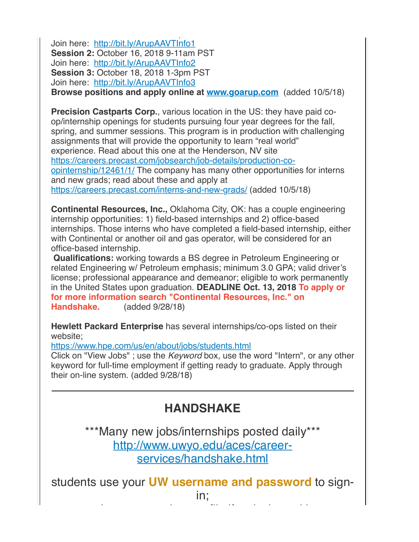Join here: [http://bit.ly/ArupAAVTInfo1](http://r20.rs6.net/tn.jsp?f=001qgTtfk2N070fTvwhJ6Fou-qgJpO7wGdVOOg2c3rkNq_FAx-lOIJaS32VHlGfMNtoCRIXX5K8E1JpC1DMOpKUj0LPAf7iG9_uDOWZB1jorjAnLu_-Z5IlUHCv8zUbxL_n6ue4uLjushWtbkUTZtzsoQ==&c=WzJ5ipKUchcCl3KNVqPw9JZPRbagiQd5Y68_i9cwq2B5YY4Sp5dY9Q==&ch=-Jkj1GteqTeSv2CAYtQAY5O7QpWL2KUFZG2_wHEzIsQpQUald1OyAQ==) **Session 2:** October 16, 2018 9-11am PST Join here: [http://bit.ly/ArupAAVTInfo2](http://r20.rs6.net/tn.jsp?f=001qgTtfk2N070fTvwhJ6Fou-qgJpO7wGdVOOg2c3rkNq_FAx-lOIJaS32VHlGfMNtout6YOX9uqINrJq8VyBKqIDm51nbR4Uqgr1e1DRvTRQbmVhRDsd3SnCIEESk8ld-5rDzY4tP9eVCzgmHd0_DUTw==&c=WzJ5ipKUchcCl3KNVqPw9JZPRbagiQd5Y68_i9cwq2B5YY4Sp5dY9Q==&ch=-Jkj1GteqTeSv2CAYtQAY5O7QpWL2KUFZG2_wHEzIsQpQUald1OyAQ==) **Session 3:** October 18, 2018 1-3pm PST Join here: [http://bit.ly/ArupAAVTInfo3](http://r20.rs6.net/tn.jsp?f=001qgTtfk2N070fTvwhJ6Fou-qgJpO7wGdVOOg2c3rkNq_FAx-lOIJaS32VHlGfMNtotyfSdHYFbHxfjS3OBvFJp_-Huhe2s1WT9oX9LjZztGFdXA0hALRWv3HSo-OnEj9S8hsjgjrhE5R8Sn3HyIhPrQ==&c=WzJ5ipKUchcCl3KNVqPw9JZPRbagiQd5Y68_i9cwq2B5YY4Sp5dY9Q==&ch=-Jkj1GteqTeSv2CAYtQAY5O7QpWL2KUFZG2_wHEzIsQpQUald1OyAQ==) **Browse positions and apply online at [www.goarup.com](http://r20.rs6.net/tn.jsp?f=001qgTtfk2N070fTvwhJ6Fou-qgJpO7wGdVOOg2c3rkNq_FAx-lOIJaS32VHlGfMNtoV343JB8xXDMfjhwbC6SlX78qFgUYulPbAMzWHNwGkMIUBQPuJMdJ1FQ_GnFy5AUa7WwzpVRt1jQ=&c=WzJ5ipKUchcCl3KNVqPw9JZPRbagiQd5Y68_i9cwq2B5YY4Sp5dY9Q==&ch=-Jkj1GteqTeSv2CAYtQAY5O7QpWL2KUFZG2_wHEzIsQpQUald1OyAQ==)** (added 10/5/18)

**Session 1:** October 9, 2018 12-2pm PST

**Precision Castparts Corp., various location in the US: they have paid co**op/internship openings for students pursuing four year degrees for the fall, spring, and summer sessions. This program is in production with challenging assignments that will provide the opportunity to learn "real world" experience. Read about this one at the Henderson, NV site [https://careers.precast.com/jobsearch/job-details/production-co](http://r20.rs6.net/tn.jsp?f=001qgTtfk2N070fTvwhJ6Fou-qgJpO7wGdVOOg2c3rkNq_FAx-lOIJaS32VHlGfMNtoOcPxN-WricR9oniEzJ1i8KeAIpZryBOEJU-5sEztA-Ls73TDfj52ovoc8HH4RJ3jaTvCCaU5iC4Zj17l_QHJZMLlsVsO4Njn7kc11y_xdnLirdp-jU5wo3mRRxg7jezkY6a_qKnd9BzYWhT3pQz08xXsrebV6X42t_amHGJUVxoYPqrYMpsPqg==&c=WzJ5ipKUchcCl3KNVqPw9JZPRbagiQd5Y68_i9cwq2B5YY4Sp5dY9Q==&ch=-Jkj1GteqTeSv2CAYtQAY5O7QpWL2KUFZG2_wHEzIsQpQUald1OyAQ==)opinternship/12461/1/ The company has many other opportunities for interns and new grads; read about these and apply at [https://careers.precast.com/interns-and-new-grads/](http://r20.rs6.net/tn.jsp?f=001qgTtfk2N070fTvwhJ6Fou-qgJpO7wGdVOOg2c3rkNq_FAx-lOIJaS32VHlGfMNtoySA7bvetN--SagDkh46qEZ21Lx-zyNu_mHYAadx4JN3VpGBaeQXAcP9QRwK3j-JkHrxL7zNcBEVE3cdyXyR6ExAtJY7oaUUC4xCBRduyUNUKnZcVGT3DuQ==&c=WzJ5ipKUchcCl3KNVqPw9JZPRbagiQd5Y68_i9cwq2B5YY4Sp5dY9Q==&ch=-Jkj1GteqTeSv2CAYtQAY5O7QpWL2KUFZG2_wHEzIsQpQUald1OyAQ==) (added 10/5/18)

**Continental Resources, Inc.,** Oklahoma City, OK: has a couple engineering internship opportunities: 1) field-based internships and 2) office-based internships. Those interns who have completed a field-based internship, either with Continental or another oil and gas operator, will be considered for an office-based internship.

**Qualifications:** working towards a BS degree in Petroleum Engineering or related Engineering w/ Petroleum emphasis; minimum 3.0 GPA; valid driver's license; professional appearance and demeanor; eligible to work permanently in the United States upon graduation. **DEADLINE Oct. 13, 2018 To apply or for more information search "Continental Resources, Inc." on Handshake.** (added 9/28/18)

**Hewlett Packard Enterprise** has several internships/co-ops listed on their website;

[https://www.hpe.com/us/en/about/jobs/students.html](http://r20.rs6.net/tn.jsp?f=001qgTtfk2N070fTvwhJ6Fou-qgJpO7wGdVOOg2c3rkNq_FAx-lOIJaS32VHlGfMNtojpM3Oc9946yIA6pn0pyFMV-Wt53SL5Ky0e37gOEwmY-J8ZucjtxcaVYntk-Q_A8wiJlRX5gb5fZqB1XWO7MOIk0s2mpQbGL2EhZl0oYcFoZ8j2n4_BXec-tijIS3ICR6&c=WzJ5ipKUchcCl3KNVqPw9JZPRbagiQd5Y68_i9cwq2B5YY4Sp5dY9Q==&ch=-Jkj1GteqTeSv2CAYtQAY5O7QpWL2KUFZG2_wHEzIsQpQUald1OyAQ==)

Click on "View Jobs" ; use the *Keyword* box, use the word "Intern", or any other keyword for full-time employment if getting ready to graduate. Apply through their on-line system. (added 9/28/18)

## **HANDSHAKE**

\*\*\*Many new jobs/internships posted daily\*\*\* [http://www.uwyo.edu/aces/career](http://r20.rs6.net/tn.jsp?f=001qgTtfk2N070fTvwhJ6Fou-qgJpO7wGdVOOg2c3rkNq_FAx-lOIJaS77Ab-GBAuwPMKQKpsTy0u5t77GpRmHVxSZu2IiSZp_1vQ9lkZa-9yvySDx475Xdvo-MS_FpZzaNIlUcLh8epj29NQPrhLgHy924cDN8nGFm6xjzIqaS7qp4UWDewd5RhxMZLuZiIRsv&c=WzJ5ipKUchcCl3KNVqPw9JZPRbagiQd5Y68_i9cwq2B5YY4Sp5dY9Q==&ch=-Jkj1GteqTeSv2CAYtQAY5O7QpWL2KUFZG2_wHEzIsQpQUald1OyAQ==)services/handshake.html

students use your **UW username and password** to signin;

update your student profile if actively seeking